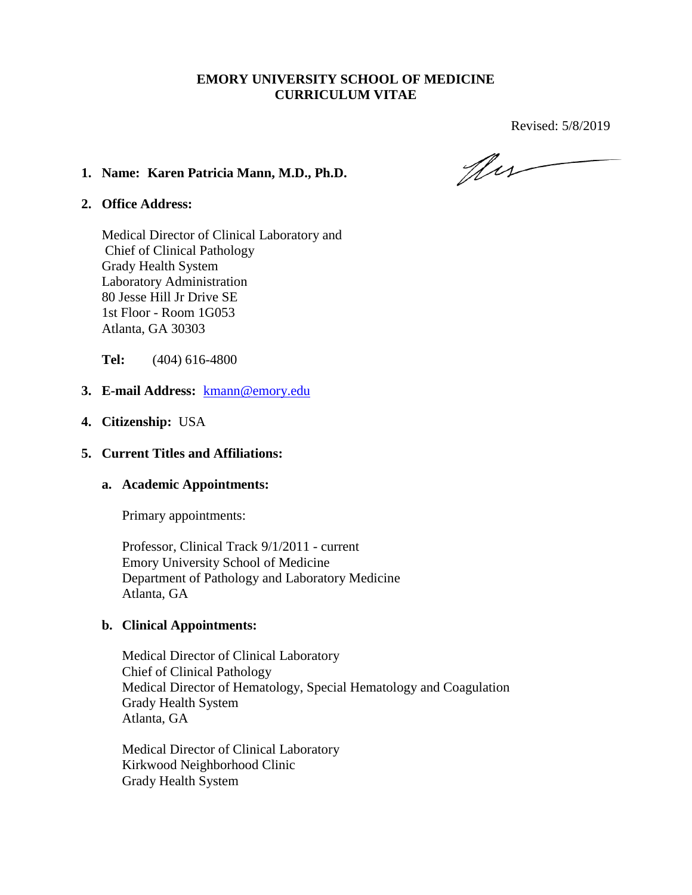### **EMORY UNIVERSITY SCHOOL OF MEDICINE CURRICULUM VITAE**

Revised: 5/8/2019

New

#### **1. Name: Karen Patricia Mann, M.D., Ph.D.**

#### **2. Office Address:**

Medical Director of Clinical Laboratory and Chief of Clinical Pathology Grady Health System Laboratory Administration 80 Jesse Hill Jr Drive SE 1st Floor - Room 1G053 Atlanta, GA 30303

**Tel:** (404) 616-4800

- **3. E-mail Address:** kmann@emory.edu
- **4. Citizenship:** USA

#### **5. Current Titles and Affiliations:**

#### **a. Academic Appointments:**

Primary appointments:

Professor, Clinical Track 9/1/2011 - current Emory University School of Medicine Department of Pathology and Laboratory Medicine Atlanta, GA

#### **b. Clinical Appointments:**

Medical Director of Clinical Laboratory Chief of Clinical Pathology Medical Director of Hematology, Special Hematology and Coagulation Grady Health System Atlanta, GA

Medical Director of Clinical Laboratory Kirkwood Neighborhood Clinic Grady Health System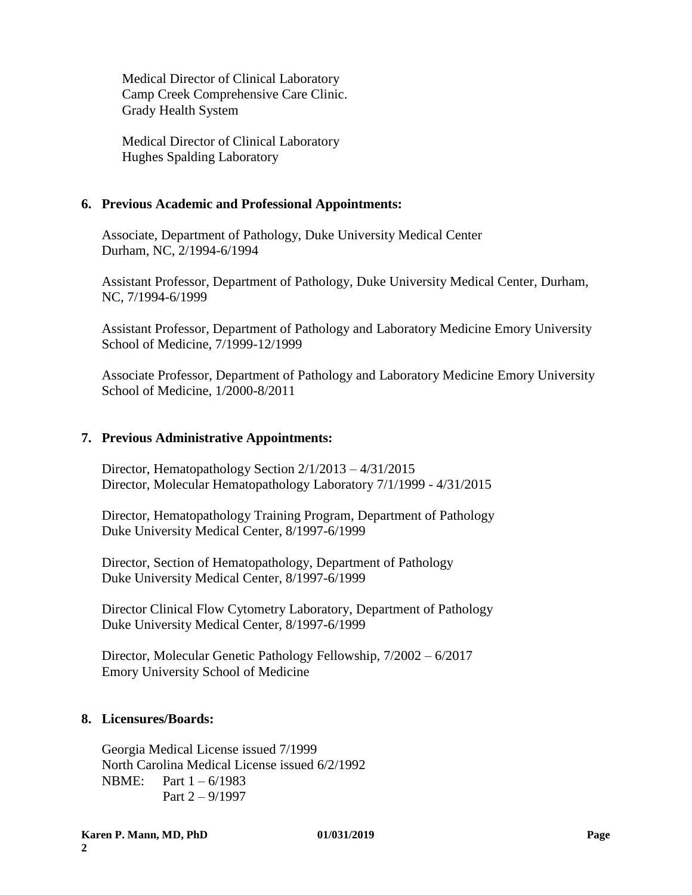Medical Director of Clinical Laboratory Camp Creek Comprehensive Care Clinic. Grady Health System

Medical Director of Clinical Laboratory Hughes Spalding Laboratory

### **6. Previous Academic and Professional Appointments:**

Associate, Department of Pathology, Duke University Medical Center Durham, NC, 2/1994-6/1994

Assistant Professor, Department of Pathology, Duke University Medical Center, Durham, NC, 7/1994-6/1999

Assistant Professor, Department of Pathology and Laboratory Medicine Emory University School of Medicine, 7/1999-12/1999

Associate Professor, Department of Pathology and Laboratory Medicine Emory University School of Medicine, 1/2000-8/2011

### **7. Previous Administrative Appointments:**

Director, Hematopathology Section 2/1/2013 – 4/31/2015 Director, Molecular Hematopathology Laboratory 7/1/1999 - 4/31/2015

Director, Hematopathology Training Program, Department of Pathology Duke University Medical Center, 8/1997-6/1999

Director, Section of Hematopathology, Department of Pathology Duke University Medical Center, 8/1997-6/1999

Director Clinical Flow Cytometry Laboratory, Department of Pathology Duke University Medical Center, 8/1997-6/1999

Director, Molecular Genetic Pathology Fellowship, 7/2002 – 6/2017 Emory University School of Medicine

# **8. Licensures/Boards:**

Georgia Medical License issued 7/1999 North Carolina Medical License issued 6/2/1992 NBME: Part 1 – 6/1983 Part 2 – 9/1997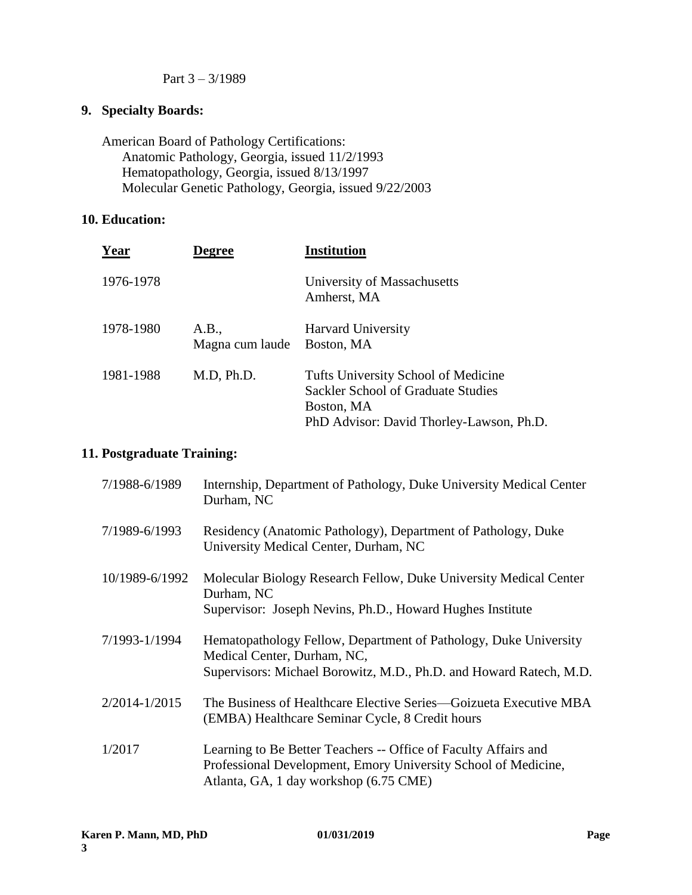### Part 3 – 3/1989

# **9. Specialty Boards:**

American Board of Pathology Certifications: Anatomic Pathology, Georgia, issued 11/2/1993 Hematopathology, Georgia, issued 8/13/1997 Molecular Genetic Pathology, Georgia, issued 9/22/2003

# **10. Education:**

| <b>Year</b> | Degree                   | <b>Institution</b>                                                                                                                  |
|-------------|--------------------------|-------------------------------------------------------------------------------------------------------------------------------------|
| 1976-1978   |                          | University of Massachusetts<br>Amherst, MA                                                                                          |
| 1978-1980   | A.B.,<br>Magna cum laude | <b>Harvard University</b><br>Boston, MA                                                                                             |
| 1981-1988   | M.D, Ph.D.               | Tufts University School of Medicine<br>Sackler School of Graduate Studies<br>Boston, MA<br>PhD Advisor: David Thorley-Lawson, Ph.D. |

# **11. Postgraduate Training:**

| 7/1988-6/1989  | Internship, Department of Pathology, Duke University Medical Center<br>Durham, NC                                                                                           |  |
|----------------|-----------------------------------------------------------------------------------------------------------------------------------------------------------------------------|--|
| 7/1989-6/1993  | Residency (Anatomic Pathology), Department of Pathology, Duke<br>University Medical Center, Durham, NC                                                                      |  |
| 10/1989-6/1992 | Molecular Biology Research Fellow, Duke University Medical Center<br>Durham, NC<br>Supervisor: Joseph Nevins, Ph.D., Howard Hughes Institute                                |  |
| 7/1993-1/1994  | Hematopathology Fellow, Department of Pathology, Duke University<br>Medical Center, Durham, NC,<br>Supervisors: Michael Borowitz, M.D., Ph.D. and Howard Ratech, M.D.       |  |
| 2/2014-1/2015  | The Business of Healthcare Elective Series—Goizueta Executive MBA<br>(EMBA) Healthcare Seminar Cycle, 8 Credit hours                                                        |  |
| 1/2017         | Learning to Be Better Teachers -- Office of Faculty Affairs and<br>Professional Development, Emory University School of Medicine,<br>Atlanta, GA, 1 day workshop (6.75 CME) |  |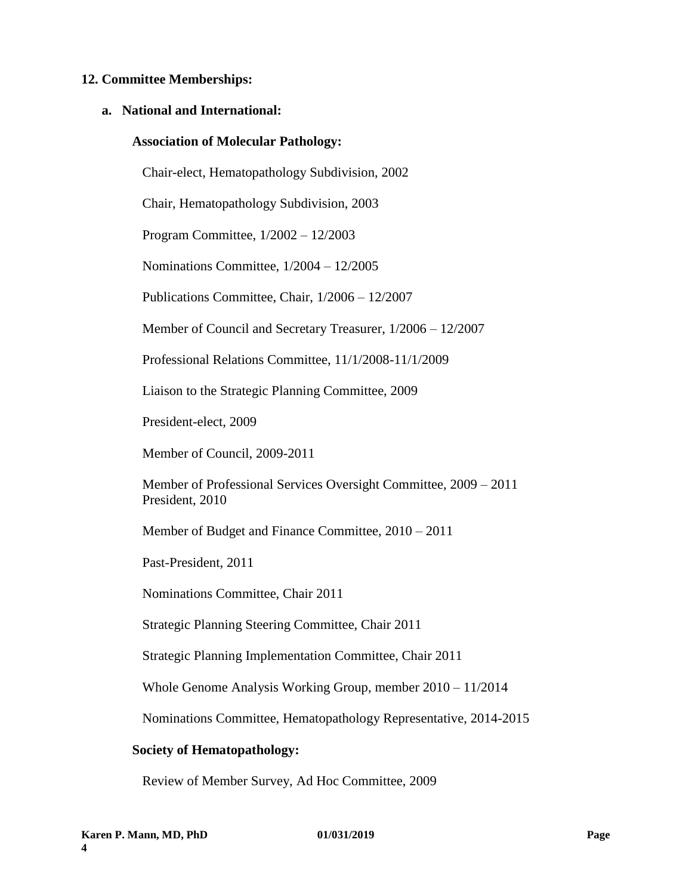#### **12. Committee Memberships:**

#### **a. National and International:**

#### **Association of Molecular Pathology:**

Chair-elect, Hematopathology Subdivision, 2002

Chair, Hematopathology Subdivision, 2003

Program Committee, 1/2002 – 12/2003

Nominations Committee, 1/2004 – 12/2005

Publications Committee, Chair, 1/2006 – 12/2007

Member of Council and Secretary Treasurer, 1/2006 – 12/2007

Professional Relations Committee, 11/1/2008-11/1/2009

Liaison to the Strategic Planning Committee, 2009

President-elect, 2009

Member of Council, 2009-2011

Member of Professional Services Oversight Committee, 2009 – 2011 President, 2010

Member of Budget and Finance Committee, 2010 – 2011

Past-President, 2011

Nominations Committee, Chair 2011

Strategic Planning Steering Committee, Chair 2011

Strategic Planning Implementation Committee, Chair 2011

Whole Genome Analysis Working Group, member 2010 – 11/2014

Nominations Committee, Hematopathology Representative, 2014-2015

#### **Society of Hematopathology:**

Review of Member Survey, Ad Hoc Committee, 2009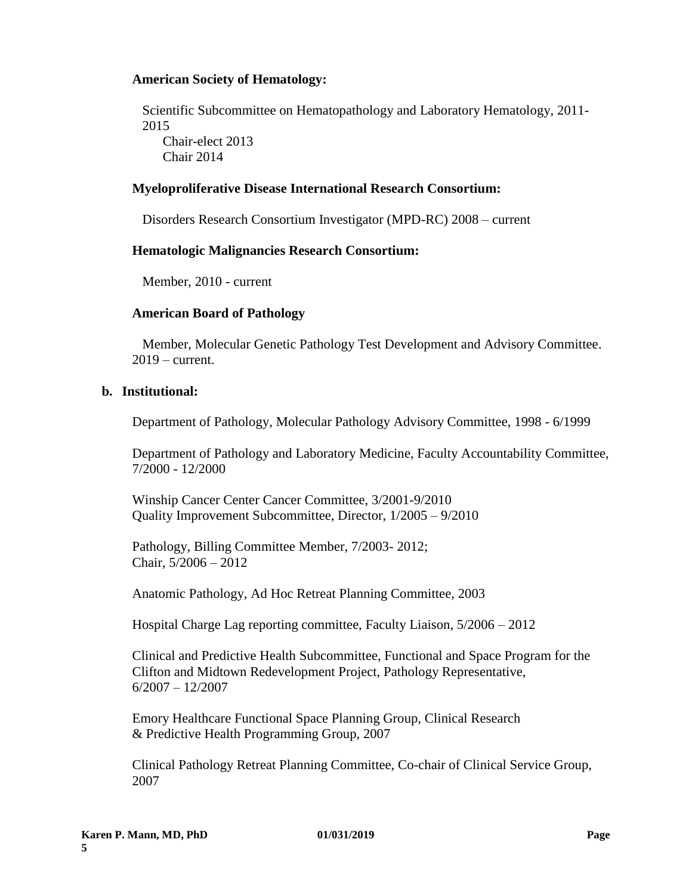### **American Society of Hematology:**

Scientific Subcommittee on Hematopathology and Laboratory Hematology, 2011- 2015 Chair-elect 2013

Chair 2014

### **Myeloproliferative Disease International Research Consortium:**

Disorders Research Consortium Investigator (MPD-RC) 2008 – current

### **Hematologic Malignancies Research Consortium:**

Member, 2010 - current

# **American Board of Pathology**

Member, Molecular Genetic Pathology Test Development and Advisory Committee. 2019 – current.

### **b. Institutional:**

Department of Pathology, Molecular Pathology Advisory Committee, 1998 - 6/1999

Department of Pathology and Laboratory Medicine, Faculty Accountability Committee, 7/2000 - 12/2000

Winship Cancer Center Cancer Committee, 3/2001-9/2010 Quality Improvement Subcommittee, Director, 1/2005 – 9/2010

Pathology, Billing Committee Member, 7/2003- 2012; Chair, 5/2006 – 2012

Anatomic Pathology, Ad Hoc Retreat Planning Committee, 2003

Hospital Charge Lag reporting committee, Faculty Liaison, 5/2006 – 2012

Clinical and Predictive Health Subcommittee, Functional and Space Program for the Clifton and Midtown Redevelopment Project, Pathology Representative, 6/2007 – 12/2007

Emory Healthcare Functional Space Planning Group, Clinical Research & Predictive Health Programming Group, 2007

Clinical Pathology Retreat Planning Committee, Co-chair of Clinical Service Group, 2007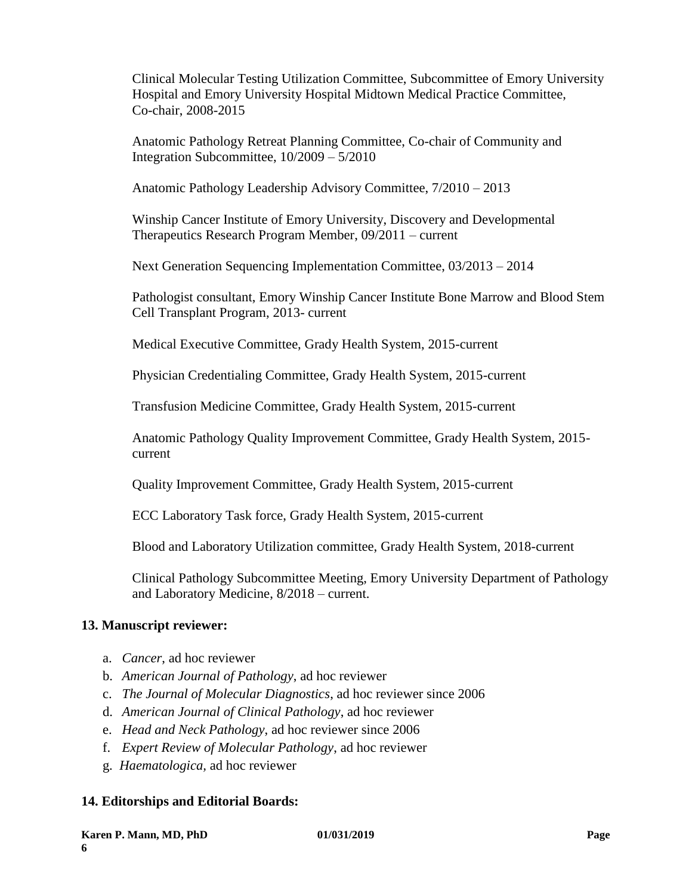Clinical Molecular Testing Utilization Committee, Subcommittee of Emory University Hospital and Emory University Hospital Midtown Medical Practice Committee, Co-chair, 2008-2015

Anatomic Pathology Retreat Planning Committee, Co-chair of Community and Integration Subcommittee, 10/2009 – 5/2010

Anatomic Pathology Leadership Advisory Committee, 7/2010 – 2013

Winship Cancer Institute of Emory University, Discovery and Developmental Therapeutics Research Program Member, 09/2011 – current

Next Generation Sequencing Implementation Committee, 03/2013 – 2014

Pathologist consultant, Emory Winship Cancer Institute Bone Marrow and Blood Stem Cell Transplant Program, 2013- current

Medical Executive Committee, Grady Health System, 2015-current

Physician Credentialing Committee, Grady Health System, 2015-current

Transfusion Medicine Committee, Grady Health System, 2015-current

Anatomic Pathology Quality Improvement Committee, Grady Health System, 2015 current

Quality Improvement Committee, Grady Health System, 2015-current

ECC Laboratory Task force, Grady Health System, 2015-current

Blood and Laboratory Utilization committee, Grady Health System, 2018-current

Clinical Pathology Subcommittee Meeting, Emory University Department of Pathology and Laboratory Medicine, 8/2018 – current.

# **13. Manuscript reviewer:**

- a. *Cancer*, ad hoc reviewer
- b. *American Journal of Pathology*, ad hoc reviewer
- c. *The Journal of Molecular Diagnostics*, ad hoc reviewer since 2006
- d. *American Journal of Clinical Pathology*, ad hoc reviewer
- e. *Head and Neck Pathology*, ad hoc reviewer since 2006
- f. *Expert Review of Molecular Pathology*, ad hoc reviewer
- g. *Haematologica,* ad hoc reviewer

# **14. Editorships and Editorial Boards:**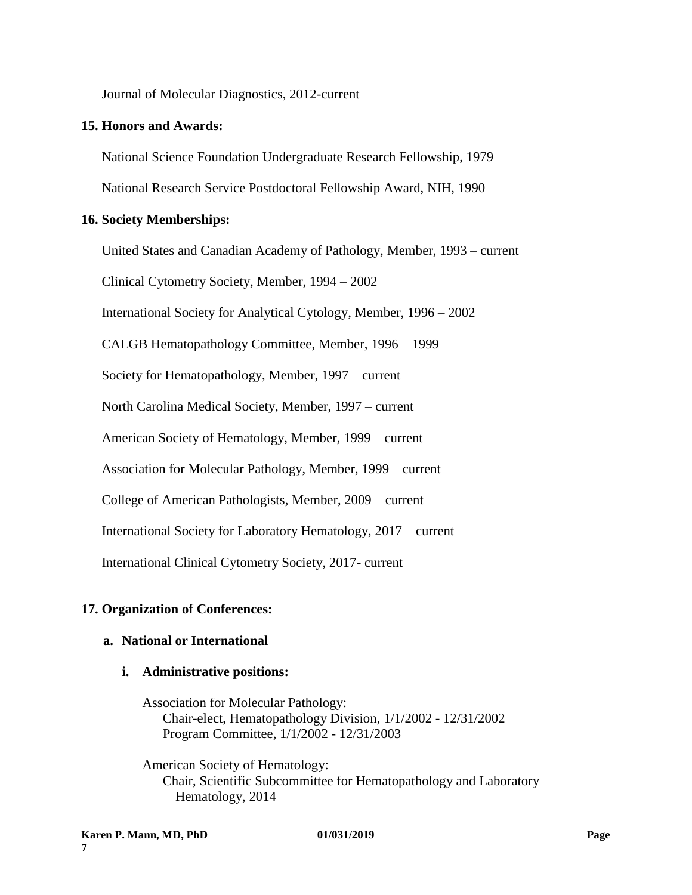Journal of Molecular Diagnostics, 2012-current

#### **15. Honors and Awards:**

National Science Foundation Undergraduate Research Fellowship, 1979

National Research Service Postdoctoral Fellowship Award, NIH, 1990

### **16. Society Memberships:**

United States and Canadian Academy of Pathology, Member, 1993 – current Clinical Cytometry Society, Member, 1994 – 2002 International Society for Analytical Cytology, Member, 1996 – 2002 CALGB Hematopathology Committee, Member, 1996 – 1999 Society for Hematopathology, Member, 1997 – current North Carolina Medical Society, Member, 1997 – current American Society of Hematology, Member, 1999 – current Association for Molecular Pathology, Member, 1999 – current College of American Pathologists, Member, 2009 – current International Society for Laboratory Hematology, 2017 – current International Clinical Cytometry Society, 2017- current

# **17. Organization of Conferences:**

### **a. National or International**

#### **i. Administrative positions:**

Association for Molecular Pathology: Chair-elect, Hematopathology Division, 1/1/2002 - 12/31/2002 Program Committee, 1/1/2002 - 12/31/2003

American Society of Hematology: Chair, Scientific Subcommittee for Hematopathology and Laboratory Hematology, 2014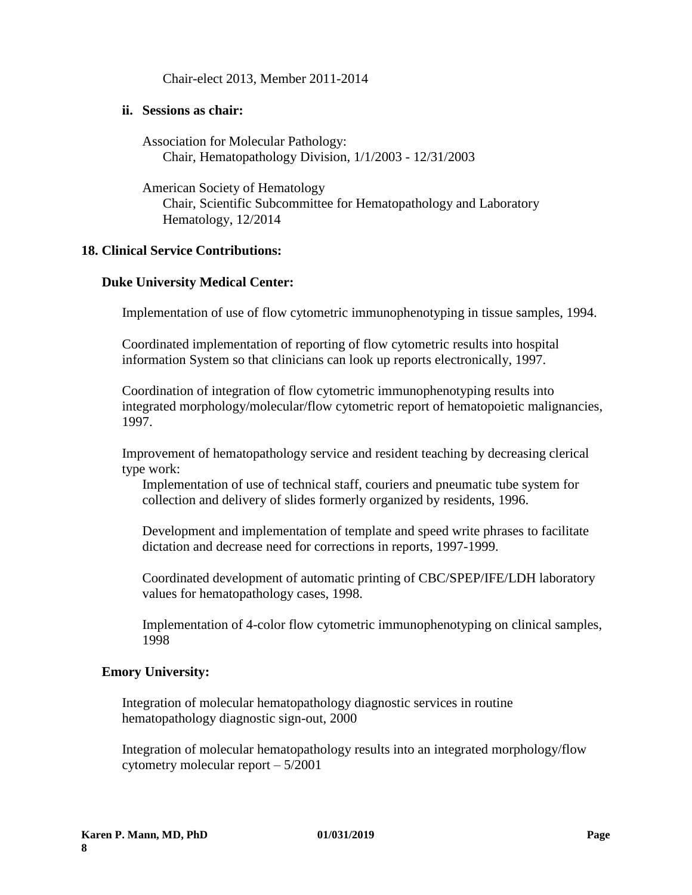Chair-elect 2013, Member 2011-2014

#### **ii. Sessions as chair:**

Association for Molecular Pathology: Chair, Hematopathology Division, 1/1/2003 - 12/31/2003

American Society of Hematology Chair, Scientific Subcommittee for Hematopathology and Laboratory Hematology, 12/2014

### **18. Clinical Service Contributions:**

#### **Duke University Medical Center:**

Implementation of use of flow cytometric immunophenotyping in tissue samples, 1994.

Coordinated implementation of reporting of flow cytometric results into hospital information System so that clinicians can look up reports electronically, 1997.

Coordination of integration of flow cytometric immunophenotyping results into integrated morphology/molecular/flow cytometric report of hematopoietic malignancies, 1997.

Improvement of hematopathology service and resident teaching by decreasing clerical type work:

Implementation of use of technical staff, couriers and pneumatic tube system for collection and delivery of slides formerly organized by residents, 1996.

Development and implementation of template and speed write phrases to facilitate dictation and decrease need for corrections in reports, 1997-1999.

Coordinated development of automatic printing of CBC/SPEP/IFE/LDH laboratory values for hematopathology cases, 1998.

Implementation of 4-color flow cytometric immunophenotyping on clinical samples, 1998

#### **Emory University:**

Integration of molecular hematopathology diagnostic services in routine hematopathology diagnostic sign-out, 2000

Integration of molecular hematopathology results into an integrated morphology/flow cytometry molecular report – 5/2001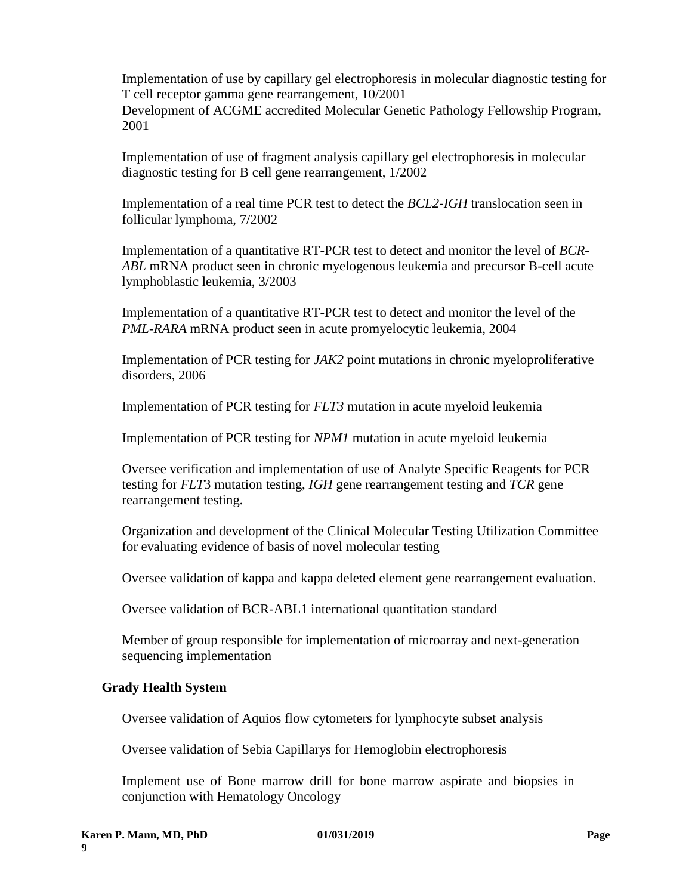Implementation of use by capillary gel electrophoresis in molecular diagnostic testing for T cell receptor gamma gene rearrangement, 10/2001 Development of ACGME accredited Molecular Genetic Pathology Fellowship Program, 2001

Implementation of use of fragment analysis capillary gel electrophoresis in molecular diagnostic testing for B cell gene rearrangement, 1/2002

Implementation of a real time PCR test to detect the *BCL2-IGH* translocation seen in follicular lymphoma, 7/2002

Implementation of a quantitative RT-PCR test to detect and monitor the level of *BCR-ABL* mRNA product seen in chronic myelogenous leukemia and precursor B-cell acute lymphoblastic leukemia, 3/2003

Implementation of a quantitative RT-PCR test to detect and monitor the level of the *PML-RARA* mRNA product seen in acute promyelocytic leukemia, 2004

Implementation of PCR testing for *JAK2* point mutations in chronic myeloproliferative disorders, 2006

Implementation of PCR testing for *FLT3* mutation in acute myeloid leukemia

Implementation of PCR testing for *NPM1* mutation in acute myeloid leukemia

Oversee verification and implementation of use of Analyte Specific Reagents for PCR testing for *FLT*3 mutation testing, *IGH* gene rearrangement testing and *TCR* gene rearrangement testing.

Organization and development of the Clinical Molecular Testing Utilization Committee for evaluating evidence of basis of novel molecular testing

Oversee validation of kappa and kappa deleted element gene rearrangement evaluation.

Oversee validation of BCR-ABL1 international quantitation standard

Member of group responsible for implementation of microarray and next-generation sequencing implementation

#### **Grady Health System**

Oversee validation of Aquios flow cytometers for lymphocyte subset analysis

Oversee validation of Sebia Capillarys for Hemoglobin electrophoresis

Implement use of Bone marrow drill for bone marrow aspirate and biopsies in conjunction with Hematology Oncology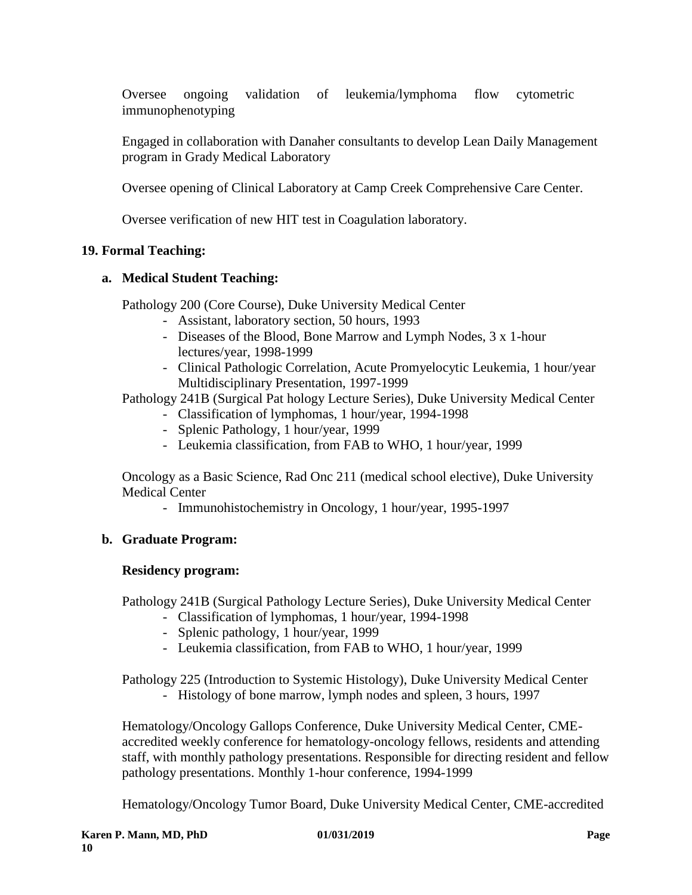Oversee ongoing validation of leukemia/lymphoma flow cytometric immunophenotyping

Engaged in collaboration with Danaher consultants to develop Lean Daily Management program in Grady Medical Laboratory

Oversee opening of Clinical Laboratory at Camp Creek Comprehensive Care Center.

Oversee verification of new HIT test in Coagulation laboratory.

# **19. Formal Teaching:**

### **a. Medical Student Teaching:**

Pathology 200 (Core Course), Duke University Medical Center

- Assistant, laboratory section, 50 hours, 1993
- Diseases of the Blood, Bone Marrow and Lymph Nodes, 3 x 1-hour lectures/year, 1998-1999
- Clinical Pathologic Correlation, Acute Promyelocytic Leukemia, 1 hour/year Multidisciplinary Presentation, 1997-1999

Pathology 241B (Surgical Pat hology Lecture Series), Duke University Medical Center

- Classification of lymphomas, 1 hour/year, 1994-1998
- Splenic Pathology, 1 hour/year, 1999
- Leukemia classification, from FAB to WHO, 1 hour/year, 1999

Oncology as a Basic Science, Rad Onc 211 (medical school elective), Duke University Medical Center

- Immunohistochemistry in Oncology, 1 hour/year, 1995-1997

#### **b. Graduate Program:**

#### **Residency program:**

Pathology 241B (Surgical Pathology Lecture Series), Duke University Medical Center

- Classification of lymphomas, 1 hour/year, 1994-1998
- Splenic pathology, 1 hour/year, 1999
- Leukemia classification, from FAB to WHO, 1 hour/year, 1999

Pathology 225 (Introduction to Systemic Histology), Duke University Medical Center

- Histology of bone marrow, lymph nodes and spleen, 3 hours, 1997

Hematology/Oncology Gallops Conference, Duke University Medical Center, CMEaccredited weekly conference for hematology-oncology fellows, residents and attending staff, with monthly pathology presentations. Responsible for directing resident and fellow pathology presentations. Monthly 1-hour conference, 1994-1999

Hematology/Oncology Tumor Board, Duke University Medical Center, CME-accredited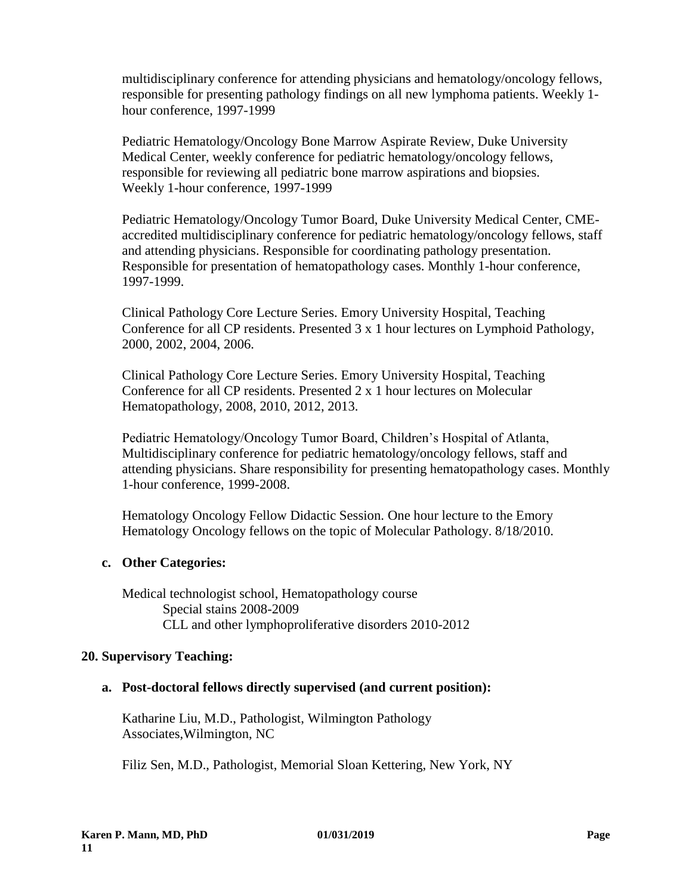multidisciplinary conference for attending physicians and hematology/oncology fellows, responsible for presenting pathology findings on all new lymphoma patients. Weekly 1 hour conference, 1997-1999

Pediatric Hematology/Oncology Bone Marrow Aspirate Review, Duke University Medical Center, weekly conference for pediatric hematology/oncology fellows, responsible for reviewing all pediatric bone marrow aspirations and biopsies. Weekly 1-hour conference, 1997-1999

Pediatric Hematology/Oncology Tumor Board, Duke University Medical Center, CMEaccredited multidisciplinary conference for pediatric hematology/oncology fellows, staff and attending physicians. Responsible for coordinating pathology presentation. Responsible for presentation of hematopathology cases. Monthly 1-hour conference, 1997-1999.

Clinical Pathology Core Lecture Series. Emory University Hospital, Teaching Conference for all CP residents. Presented 3 x 1 hour lectures on Lymphoid Pathology, 2000, 2002, 2004, 2006.

Clinical Pathology Core Lecture Series. Emory University Hospital, Teaching Conference for all CP residents. Presented 2 x 1 hour lectures on Molecular Hematopathology, 2008, 2010, 2012, 2013.

Pediatric Hematology/Oncology Tumor Board, Children's Hospital of Atlanta, Multidisciplinary conference for pediatric hematology/oncology fellows, staff and attending physicians. Share responsibility for presenting hematopathology cases. Monthly 1-hour conference, 1999-2008.

Hematology Oncology Fellow Didactic Session. One hour lecture to the Emory Hematology Oncology fellows on the topic of Molecular Pathology. 8/18/2010.

# **c. Other Categories:**

Medical technologist school, Hematopathology course Special stains 2008-2009 CLL and other lymphoproliferative disorders 2010-2012

# **20. Supervisory Teaching:**

# **a. Post-doctoral fellows directly supervised (and current position):**

Katharine Liu, M.D., Pathologist, Wilmington Pathology Associates,Wilmington, NC

Filiz Sen, M.D., Pathologist, Memorial Sloan Kettering, New York, NY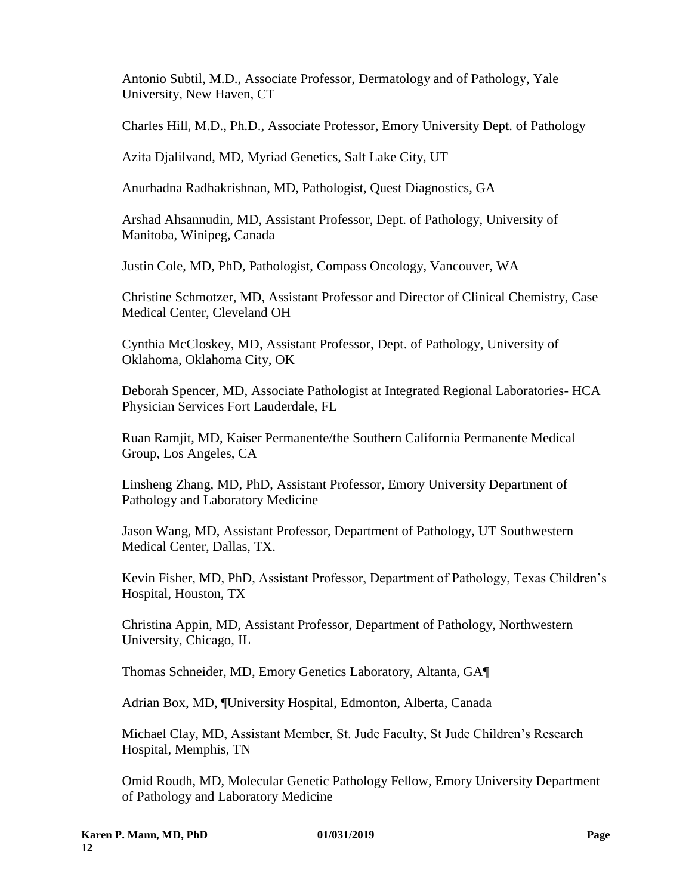Antonio Subtil, M.D., Associate Professor, Dermatology and of Pathology, Yale University, New Haven, CT

Charles Hill, M.D., Ph.D., Associate Professor, Emory University Dept. of Pathology

Azita Djalilvand, MD, Myriad Genetics, Salt Lake City, UT

Anurhadna Radhakrishnan, MD, Pathologist, Quest Diagnostics, GA

Arshad Ahsannudin, MD, Assistant Professor, Dept. of Pathology, University of Manitoba, Winipeg, Canada

Justin Cole, MD, PhD, Pathologist, Compass Oncology, Vancouver, WA

Christine Schmotzer, MD, Assistant Professor and Director of Clinical Chemistry, Case Medical Center, Cleveland OH

Cynthia McCloskey, MD, Assistant Professor, Dept. of Pathology, University of Oklahoma, Oklahoma City, OK

Deborah Spencer, MD, Associate Pathologist at Integrated Regional Laboratories- HCA Physician Services Fort Lauderdale, FL

Ruan Ramjit, MD, Kaiser Permanente/the Southern California Permanente Medical Group, Los Angeles, CA

Linsheng Zhang, MD, PhD, Assistant Professor, Emory University Department of Pathology and Laboratory Medicine

Jason Wang, MD, Assistant Professor, Department of Pathology, UT Southwestern Medical Center, Dallas, TX.

Kevin Fisher, MD, PhD, Assistant Professor, Department of Pathology, Texas Children's Hospital, Houston, TX

Christina Appin, MD, Assistant Professor, Department of Pathology, Northwestern University, Chicago, IL

Thomas Schneider, MD, Emory Genetics Laboratory, Altanta, GA¶

Adrian Box, MD, ¶University Hospital, Edmonton, Alberta, Canada

Michael Clay, MD, Assistant Member, St. Jude Faculty, St Jude Children's Research Hospital, Memphis, TN

Omid Roudh, MD, Molecular Genetic Pathology Fellow, Emory University Department of Pathology and Laboratory Medicine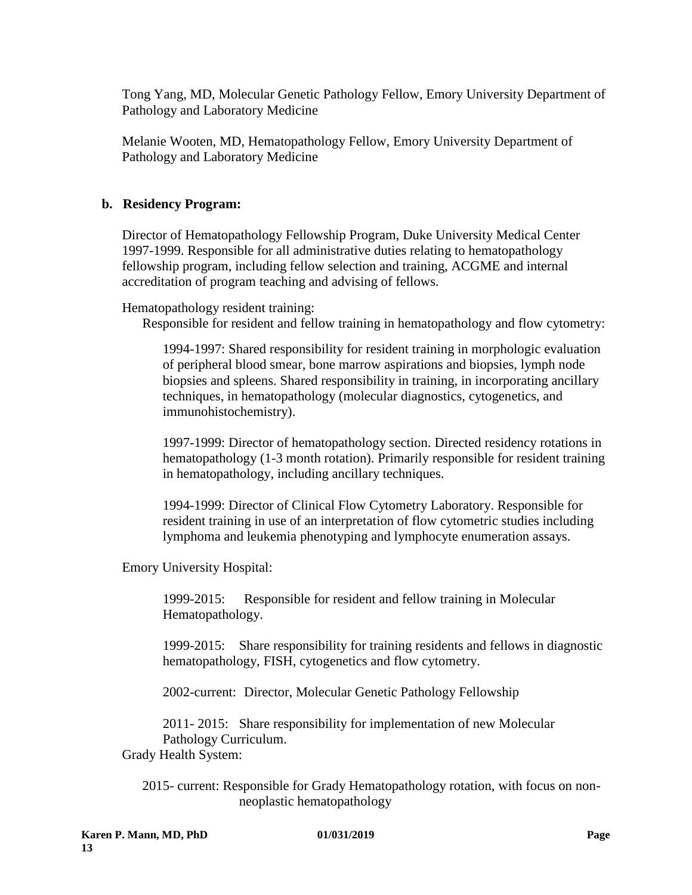Tong Yang, MD, Molecular Genetic Pathology Fellow, Emory University Department of Pathology and Laboratory Medicine

Melanie Wooten, MD, Hematopathology Fellow, Emory University Department of Pathology and Laboratory Medicine

### **b. Residency Program:**

Director of Hematopathology Fellowship Program, Duke University Medical Center 1997-1999. Responsible for all administrative duties relating to hematopathology fellowship program, including fellow selection and training, ACGME and internal accreditation of program teaching and advising of fellows.

Hematopathology resident training:

Responsible for resident and fellow training in hematopathology and flow cytometry:

1994-1997: Shared responsibility for resident training in morphologic evaluation of peripheral blood smear, bone marrow aspirations and biopsies, lymph node biopsies and spleens. Shared responsibility in training, in incorporating ancillary techniques, in hematopathology (molecular diagnostics, cytogenetics, and immunohistochemistry).

1997-1999: Director of hematopathology section. Directed residency rotations in hematopathology (1-3 month rotation). Primarily responsible for resident training in hematopathology, including ancillary techniques.

1994-1999: Director of Clinical Flow Cytometry Laboratory. Responsible for resident training in use of an interpretation of flow cytometric studies including lymphoma and leukemia phenotyping and lymphocyte enumeration assays.

Emory University Hospital:

1999-2015: Responsible for resident and fellow training in Molecular Hematopathology.

1999-2015: Share responsibility for training residents and fellows in diagnostic hematopathology, FISH, cytogenetics and flow cytometry.

2002-current: Director, Molecular Genetic Pathology Fellowship

2011- 2015: Share responsibility for implementation of new Molecular Pathology Curriculum.

Grady Health System:

2015- current: Responsible for Grady Hematopathology rotation, with focus on nonneoplastic hematopathology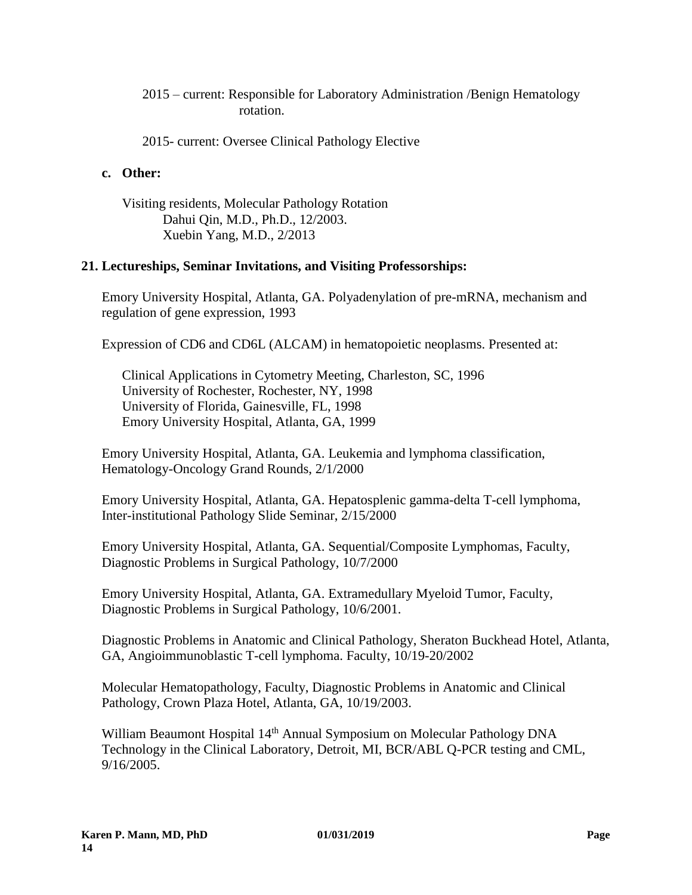### 2015 – current: Responsible for Laboratory Administration /Benign Hematology rotation.

2015- current: Oversee Clinical Pathology Elective

### **c. Other:**

Visiting residents, Molecular Pathology Rotation Dahui Qin, M.D., Ph.D., 12/2003. Xuebin Yang, M.D., 2/2013

### **21. Lectureships, Seminar Invitations, and Visiting Professorships:**

Emory University Hospital, Atlanta, GA. Polyadenylation of pre-mRNA, mechanism and regulation of gene expression, 1993

Expression of CD6 and CD6L (ALCAM) in hematopoietic neoplasms. Presented at:

Clinical Applications in Cytometry Meeting, Charleston, SC, 1996 University of Rochester, Rochester, NY, 1998 University of Florida, Gainesville, FL, 1998 Emory University Hospital, Atlanta, GA, 1999

Emory University Hospital, Atlanta, GA. Leukemia and lymphoma classification, Hematology-Oncology Grand Rounds, 2/1/2000

Emory University Hospital, Atlanta, GA. Hepatosplenic gamma-delta T-cell lymphoma, Inter-institutional Pathology Slide Seminar, 2/15/2000

Emory University Hospital, Atlanta, GA. Sequential/Composite Lymphomas, Faculty, Diagnostic Problems in Surgical Pathology, 10/7/2000

Emory University Hospital, Atlanta, GA. Extramedullary Myeloid Tumor, Faculty, Diagnostic Problems in Surgical Pathology, 10/6/2001.

Diagnostic Problems in Anatomic and Clinical Pathology, Sheraton Buckhead Hotel, Atlanta, GA, Angioimmunoblastic T-cell lymphoma. Faculty, 10/19-20/2002

Molecular Hematopathology, Faculty, Diagnostic Problems in Anatomic and Clinical Pathology, Crown Plaza Hotel, Atlanta, GA, 10/19/2003.

William Beaumont Hospital 14<sup>th</sup> Annual Symposium on Molecular Pathology DNA Technology in the Clinical Laboratory, Detroit, MI, BCR/ABL Q-PCR testing and CML, 9/16/2005.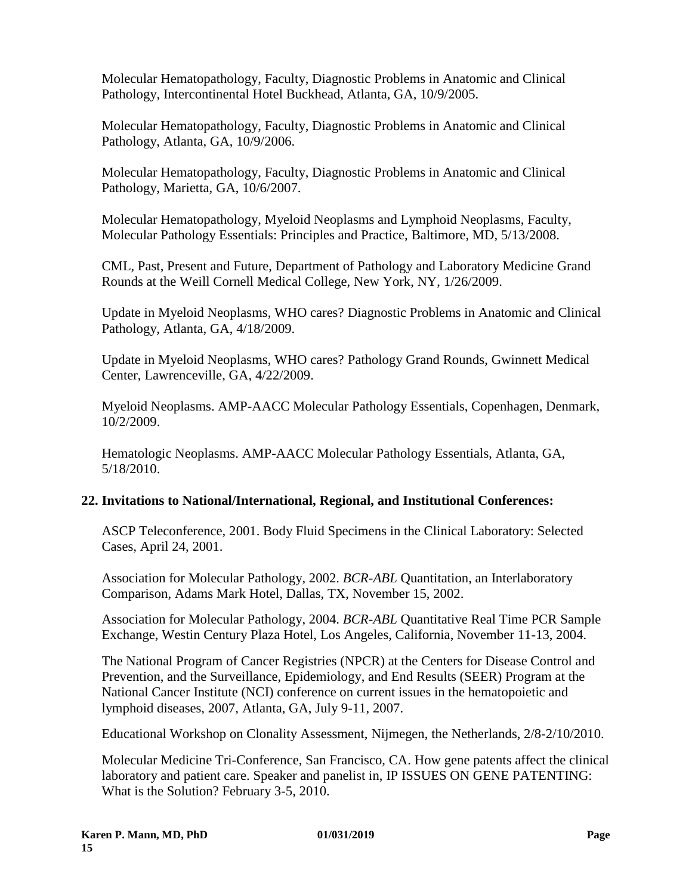Molecular Hematopathology, Faculty, Diagnostic Problems in Anatomic and Clinical Pathology, Intercontinental Hotel Buckhead, Atlanta, GA, 10/9/2005.

Molecular Hematopathology, Faculty, Diagnostic Problems in Anatomic and Clinical Pathology, Atlanta, GA, 10/9/2006.

Molecular Hematopathology, Faculty, Diagnostic Problems in Anatomic and Clinical Pathology, Marietta, GA, 10/6/2007.

Molecular Hematopathology, Myeloid Neoplasms and Lymphoid Neoplasms, Faculty, Molecular Pathology Essentials: Principles and Practice, Baltimore, MD, 5/13/2008.

CML, Past, Present and Future, Department of Pathology and Laboratory Medicine Grand Rounds at the Weill Cornell Medical College, New York, NY, 1/26/2009.

Update in Myeloid Neoplasms, WHO cares? Diagnostic Problems in Anatomic and Clinical Pathology, Atlanta, GA, 4/18/2009.

Update in Myeloid Neoplasms, WHO cares? Pathology Grand Rounds, Gwinnett Medical Center, Lawrenceville, GA, 4/22/2009.

Myeloid Neoplasms. AMP-AACC Molecular Pathology Essentials, Copenhagen, Denmark, 10/2/2009.

Hematologic Neoplasms. AMP-AACC Molecular Pathology Essentials, Atlanta, GA, 5/18/2010.

# **22. Invitations to National/International, Regional, and Institutional Conferences:**

ASCP Teleconference, 2001. Body Fluid Specimens in the Clinical Laboratory: Selected Cases, April 24, 2001.

Association for Molecular Pathology, 2002. *BCR-ABL* Quantitation, an Interlaboratory Comparison, Adams Mark Hotel, Dallas, TX, November 15, 2002.

Association for Molecular Pathology, 2004. *BCR-ABL* Quantitative Real Time PCR Sample Exchange, Westin Century Plaza Hotel, Los Angeles, California, November 11-13, 2004.

The National Program of Cancer Registries (NPCR) at the Centers for Disease Control and Prevention, and the Surveillance, Epidemiology, and End Results (SEER) Program at the National Cancer Institute (NCI) conference on current issues in the hematopoietic and lymphoid diseases, 2007, Atlanta, GA, July 9-11, 2007.

Educational Workshop on Clonality Assessment, Nijmegen, the Netherlands, 2/8-2/10/2010.

Molecular Medicine Tri-Conference, San Francisco, CA. How gene patents affect the clinical laboratory and patient care. Speaker and panelist in, IP ISSUES ON GENE PATENTING: What is the Solution? February 3-5, 2010.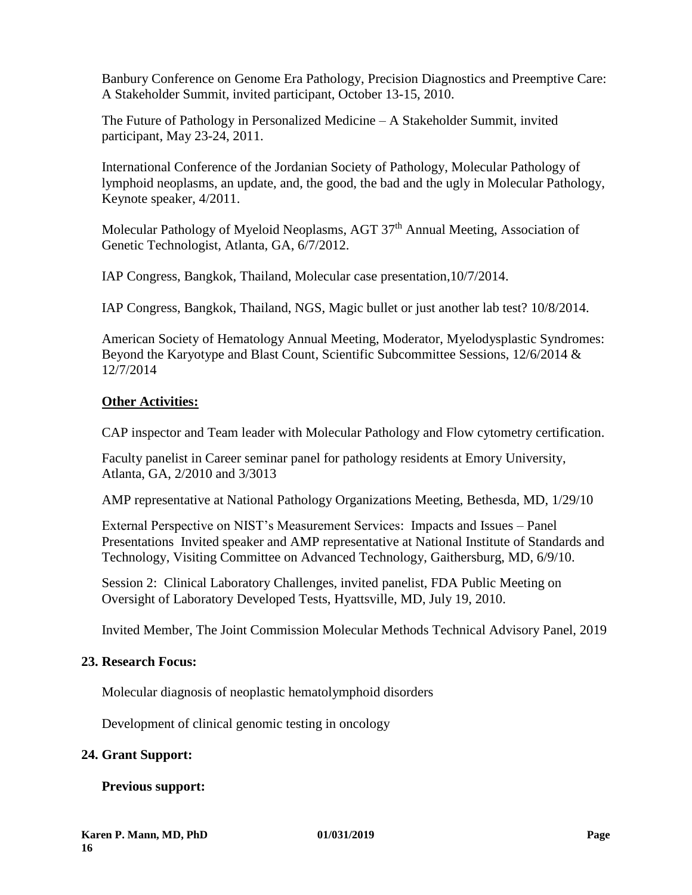Banbury Conference on Genome Era Pathology, Precision Diagnostics and Preemptive Care: A Stakeholder Summit, invited participant, October 13-15, 2010.

The Future of Pathology in Personalized Medicine – A Stakeholder Summit, invited participant, May 23-24, 2011.

International Conference of the Jordanian Society of Pathology, Molecular Pathology of lymphoid neoplasms, an update, and, the good, the bad and the ugly in Molecular Pathology, Keynote speaker, 4/2011.

Molecular Pathology of Myeloid Neoplasms, AGT 37<sup>th</sup> Annual Meeting, Association of Genetic Technologist, Atlanta, GA, 6/7/2012.

IAP Congress, Bangkok, Thailand, Molecular case presentation,10/7/2014.

IAP Congress, Bangkok, Thailand, NGS, Magic bullet or just another lab test? 10/8/2014.

American Society of Hematology Annual Meeting, Moderator, Myelodysplastic Syndromes: Beyond the Karyotype and Blast Count, Scientific Subcommittee Sessions, 12/6/2014 & 12/7/2014

# **Other Activities:**

CAP inspector and Team leader with Molecular Pathology and Flow cytometry certification.

Faculty panelist in Career seminar panel for pathology residents at Emory University, Atlanta, GA, 2/2010 and 3/3013

AMP representative at National Pathology Organizations Meeting, Bethesda, MD, 1/29/10

External Perspective on NIST's Measurement Services: Impacts and Issues – Panel Presentations Invited speaker and AMP representative at National Institute of Standards and Technology, Visiting Committee on Advanced Technology, Gaithersburg, MD, 6/9/10.

Session 2: Clinical Laboratory Challenges, invited panelist, FDA Public Meeting on Oversight of Laboratory Developed Tests, Hyattsville, MD, July 19, 2010.

Invited Member, The Joint Commission Molecular Methods Technical Advisory Panel, 2019

# **23. Research Focus:**

Molecular diagnosis of neoplastic hematolymphoid disorders

Development of clinical genomic testing in oncology

# **24. Grant Support:**

# **Previous support:**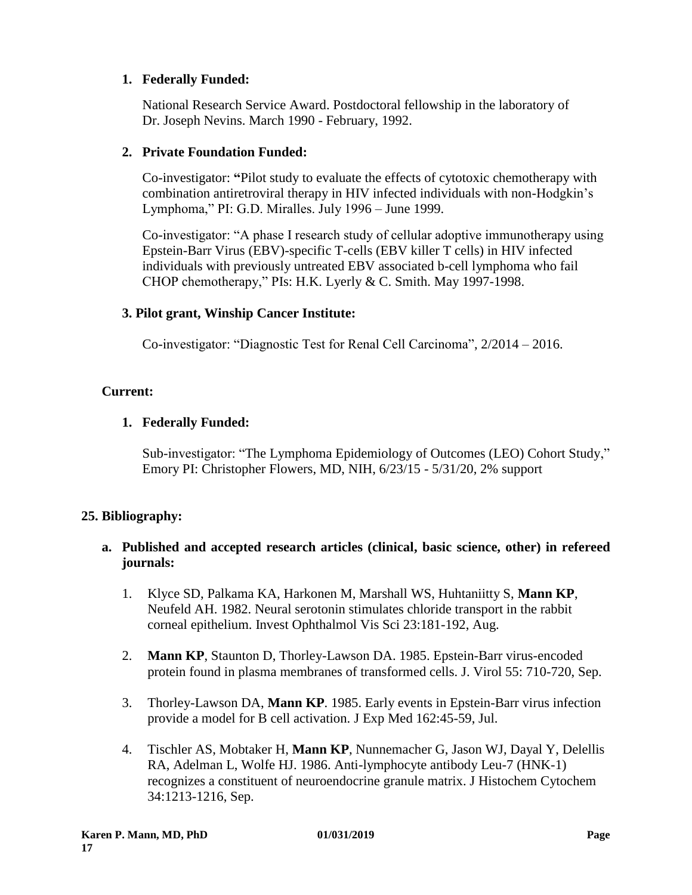# **1. Federally Funded:**

National Research Service Award. Postdoctoral fellowship in the laboratory of Dr. Joseph Nevins. March 1990 - February, 1992.

# **2. Private Foundation Funded:**

Co-investigator: **"**Pilot study to evaluate the effects of cytotoxic chemotherapy with combination antiretroviral therapy in HIV infected individuals with non-Hodgkin's Lymphoma," PI: G.D. Miralles. July 1996 – June 1999.

Co-investigator: "A phase I research study of cellular adoptive immunotherapy using Epstein-Barr Virus (EBV)-specific T-cells (EBV killer T cells) in HIV infected individuals with previously untreated EBV associated b-cell lymphoma who fail CHOP chemotherapy," PIs: H.K. Lyerly & C. Smith. May 1997-1998.

# **3. Pilot grant, Winship Cancer Institute:**

Co-investigator: "Diagnostic Test for Renal Cell Carcinoma", 2/2014 – 2016.

# **Current:**

# **1. Federally Funded:**

Sub-investigator: "The Lymphoma Epidemiology of Outcomes (LEO) Cohort Study," Emory PI: Christopher Flowers, MD, NIH, 6/23/15 - 5/31/20, 2% support

# **25. Bibliography:**

# **a. Published and accepted research articles (clinical, basic science, other) in refereed journals:**

- 1. Klyce SD, Palkama KA, Harkonen M, Marshall WS, Huhtaniitty S, **Mann KP**, Neufeld AH. 1982. Neural serotonin stimulates chloride transport in the rabbit corneal epithelium. Invest Ophthalmol Vis Sci 23:181-192, Aug.
- 2. **Mann KP**, Staunton D, Thorley-Lawson DA. 1985. Epstein-Barr virus-encoded protein found in plasma membranes of transformed cells. J. Virol 55: 710-720, Sep.
- 3. Thorley-Lawson DA, **Mann KP**. 1985. Early events in Epstein-Barr virus infection provide a model for B cell activation. J Exp Med 162:45-59, Jul.
- 4. Tischler AS, Mobtaker H, **Mann KP**, Nunnemacher G, Jason WJ, Dayal Y, Delellis RA, Adelman L, Wolfe HJ. 1986. Anti-lymphocyte antibody Leu-7 (HNK-1) recognizes a constituent of neuroendocrine granule matrix. J Histochem Cytochem 34:1213-1216, Sep.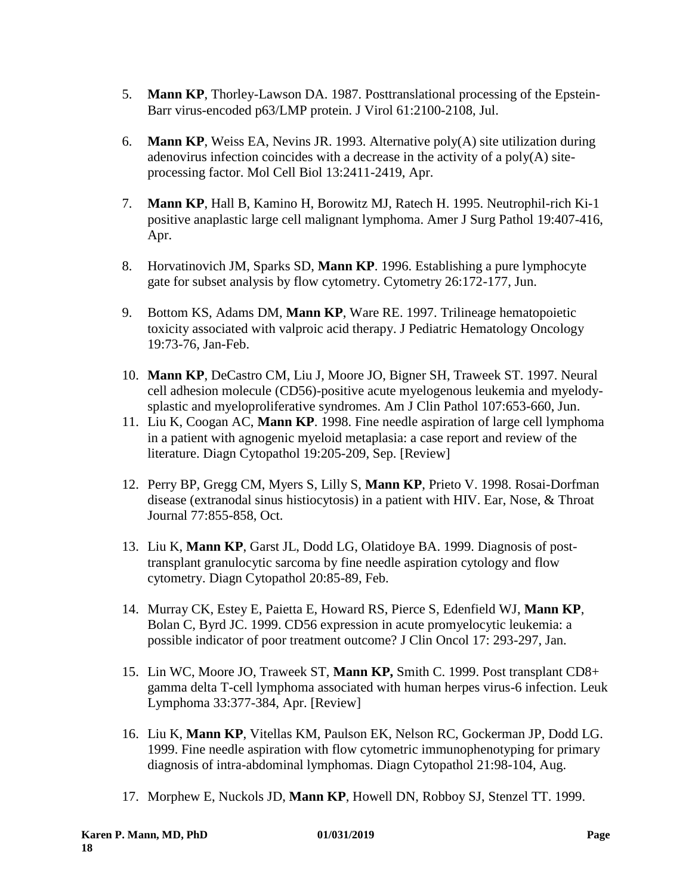- 5. **Mann KP**, Thorley-Lawson DA. 1987. Posttranslational processing of the Epstein-Barr virus-encoded p63/LMP protein. J Virol 61:2100-2108, Jul.
- 6. **Mann KP**, Weiss EA, Nevins JR. 1993. Alternative poly(A) site utilization during adenovirus infection coincides with a decrease in the activity of a  $poly(A)$  siteprocessing factor. Mol Cell Biol 13:2411-2419, Apr.
- 7. **Mann KP**, Hall B, Kamino H, Borowitz MJ, Ratech H. 1995. Neutrophil-rich Ki-1 positive anaplastic large cell malignant lymphoma. Amer J Surg Pathol 19:407-416, Apr.
- 8. Horvatinovich JM, Sparks SD, **Mann KP**. 1996. Establishing a pure lymphocyte gate for subset analysis by flow cytometry. Cytometry 26:172-177, Jun.
- 9. Bottom KS, Adams DM, **Mann KP**, Ware RE. 1997. Trilineage hematopoietic toxicity associated with valproic acid therapy. J Pediatric Hematology Oncology 19:73-76, Jan-Feb.
- 10. **Mann KP**, DeCastro CM, Liu J, Moore JO, Bigner SH, Traweek ST. 1997. Neural cell adhesion molecule (CD56)-positive acute myelogenous leukemia and myelodysplastic and myeloproliferative syndromes. Am J Clin Pathol 107:653-660, Jun.
- 11. Liu K, Coogan AC, **Mann KP**. 1998. Fine needle aspiration of large cell lymphoma in a patient with agnogenic myeloid metaplasia: a case report and review of the literature. Diagn Cytopathol 19:205-209, Sep. [Review]
- 12. Perry BP, Gregg CM, Myers S, Lilly S, **Mann KP**, Prieto V. 1998. Rosai-Dorfman disease (extranodal sinus histiocytosis) in a patient with HIV. Ear, Nose, & Throat Journal 77:855-858, Oct.
- 13. Liu K, **Mann KP**, Garst JL, Dodd LG, Olatidoye BA. 1999. Diagnosis of posttransplant granulocytic sarcoma by fine needle aspiration cytology and flow cytometry. Diagn Cytopathol 20:85-89, Feb.
- 14. Murray CK, Estey E, Paietta E, Howard RS, Pierce S, Edenfield WJ, **Mann KP**, Bolan C, Byrd JC. 1999. CD56 expression in acute promyelocytic leukemia: a possible indicator of poor treatment outcome? J Clin Oncol 17: 293-297, Jan.
- 15. Lin WC, Moore JO, Traweek ST, **Mann KP,** Smith C. 1999. Post transplant CD8+ gamma delta T-cell lymphoma associated with human herpes virus-6 infection. Leuk Lymphoma 33:377-384, Apr. [Review]
- 16. Liu K, **Mann KP**, Vitellas KM, Paulson EK, Nelson RC, Gockerman JP, Dodd LG. 1999. Fine needle aspiration with flow cytometric immunophenotyping for primary diagnosis of intra-abdominal lymphomas. Diagn Cytopathol 21:98-104, Aug.
- 17. Morphew E, Nuckols JD, **Mann KP**, Howell DN, Robboy SJ, Stenzel TT. 1999.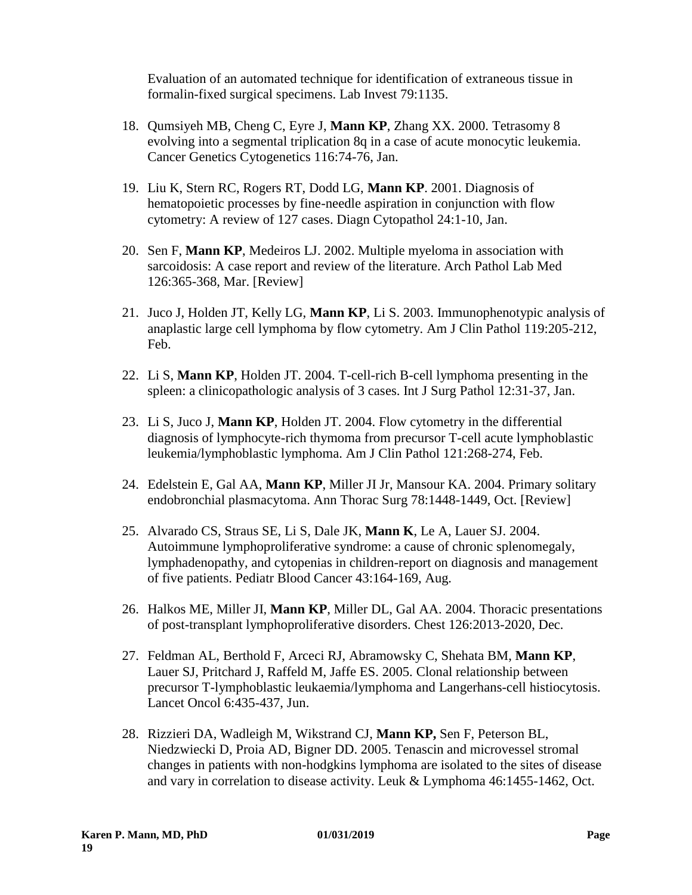Evaluation of an automated technique for identification of extraneous tissue in formalin-fixed surgical specimens. Lab Invest 79:1135.

- 18. Qumsiyeh MB, Cheng C, Eyre J, **Mann KP**, Zhang XX. 2000. Tetrasomy 8 evolving into a segmental triplication 8q in a case of acute monocytic leukemia. Cancer Genetics Cytogenetics 116:74-76, Jan.
- 19. Liu K, Stern RC, Rogers RT, Dodd LG, **Mann KP**. 2001. Diagnosis of hematopoietic processes by fine-needle aspiration in conjunction with flow cytometry: A review of 127 cases. Diagn Cytopathol 24:1-10, Jan.
- 20. Sen F, **Mann KP**, Medeiros LJ. 2002. Multiple myeloma in association with sarcoidosis: A case report and review of the literature. Arch Pathol Lab Med 126:365-368, Mar. [Review]
- 21. Juco J, Holden JT, Kelly LG, **Mann KP**, Li S. 2003. Immunophenotypic analysis of anaplastic large cell lymphoma by flow cytometry. Am J Clin Pathol 119:205-212, Feb.
- 22. Li S, **Mann KP**, Holden JT. 2004. T-cell-rich B-cell lymphoma presenting in the spleen: a clinicopathologic analysis of 3 cases. Int J Surg Pathol 12:31-37, Jan.
- 23. Li S, Juco J, **Mann KP**, Holden JT. 2004. Flow cytometry in the differential diagnosis of lymphocyte-rich thymoma from precursor T-cell acute lymphoblastic leukemia/lymphoblastic lymphoma. Am J Clin Pathol 121:268-274, Feb.
- 24. Edelstein E, Gal AA, **Mann KP**, Miller JI Jr, Mansour KA. 2004. Primary solitary endobronchial plasmacytoma. Ann Thorac Surg 78:1448-1449, Oct. [Review]
- 25. Alvarado CS, Straus SE, Li S, Dale JK, **Mann K**, Le A, Lauer SJ. 2004. Autoimmune lymphoproliferative syndrome: a cause of chronic splenomegaly, lymphadenopathy, and cytopenias in children-report on diagnosis and management of five patients. Pediatr Blood Cancer 43:164-169, Aug.
- 26. Halkos ME, Miller JI, **Mann KP**, Miller DL, Gal AA. 2004. Thoracic presentations of post-transplant lymphoproliferative disorders. Chest 126:2013-2020, Dec.
- 27. Feldman AL, Berthold F, Arceci RJ, Abramowsky C, Shehata BM, **Mann KP**, Lauer SJ, Pritchard J, Raffeld M, Jaffe ES. 2005. Clonal relationship between precursor T-lymphoblastic leukaemia/lymphoma and Langerhans-cell histiocytosis. Lancet Oncol 6:435-437, Jun.
- 28. Rizzieri DA, Wadleigh M, Wikstrand CJ, **Mann KP,** Sen F, Peterson BL, Niedzwiecki D, Proia AD, Bigner DD. 2005. Tenascin and microvessel stromal changes in patients with non-hodgkins lymphoma are isolated to the sites of disease and vary in correlation to disease activity. Leuk & Lymphoma 46:1455-1462, Oct.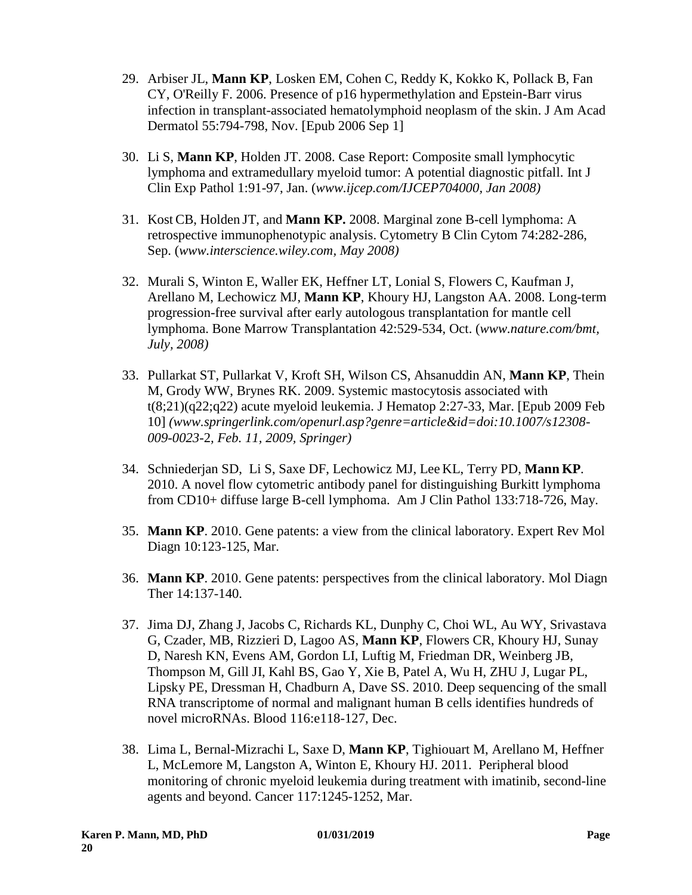- 29. Arbiser JL, **Mann KP**, Losken EM, Cohen C, Reddy K, Kokko K, Pollack B, Fan CY, O'Reilly F. 2006. Presence of p16 hypermethylation and Epstein-Barr virus infection in transplant-associated hematolymphoid neoplasm of the skin. J Am Acad Dermatol 55:794-798, Nov. [Epub 2006 Sep 1]
- 30. Li S, **Mann KP**, Holden JT. 2008. Case Report: Composite small lymphocytic lymphoma and extramedullary myeloid tumor: A potential diagnostic pitfall. Int J Clin Exp Pathol 1:91-97, Jan. (*www.ijcep.com/IJCEP704000, Jan 2008)*
- 31. Kost CB, Holden JT, and **Mann KP.** 2008. Marginal zone B-cell lymphoma: A retrospective immunophenotypic analysis. Cytometry B Clin Cytom 74:282-286, Sep. (*www.interscience.wiley.com, May 2008)*
- 32. Murali S, Winton E, Waller EK, Heffner LT, Lonial S, Flowers C, Kaufman J, Arellano M, Lechowicz MJ, **Mann KP**, Khoury HJ, Langston AA. 2008. Long-term progression-free survival after early autologous transplantation for mantle cell lymphoma. Bone Marrow Transplantation 42:529-534, Oct. (*www.nature.com/bmt, July, 2008)*
- 33. Pullarkat ST, Pullarkat V, Kroft SH, Wilson CS, Ahsanuddin AN, **Mann KP**, Thein M, Grody WW, Brynes RK. 2009. Systemic mastocytosis associated with  $t(8;21)(q22;q22)$  acute myeloid leukemia. J Hematop 2:27-33, Mar. [Epub 2009 Feb 10] *(www.springerlink.com/openurl.asp?genre=article&id=doi:10.1007/s12308- 009-0023-*2*, Feb. 11, 2009, Springer)*
- 34. Schniederjan SD, Li S, Saxe DF, Lechowicz MJ, Lee KL, Terry PD, **Mann KP**. 2010. A novel flow cytometric antibody panel for distinguishing Burkitt lymphoma from CD10+ diffuse large B-cell lymphoma. Am J Clin Pathol 133:718-726, May.
- 35. **Mann KP**. 2010. Gene patents: a view from the clinical laboratory. Expert Rev Mol Diagn 10:123-125, Mar.
- 36. **Mann KP**. 2010. Gene patents: perspectives from the clinical laboratory. Mol Diagn Ther 14:137-140.
- 37. Jima DJ, Zhang J, Jacobs C, Richards KL, Dunphy C, Choi WL, Au WY, Srivastava G, Czader, MB, Rizzieri D, Lagoo AS, **Mann KP**, Flowers CR, Khoury HJ, Sunay D, Naresh KN, Evens AM, Gordon LI, Luftig M, Friedman DR, Weinberg JB, Thompson M, Gill JI, Kahl BS, Gao Y, Xie B, Patel A, Wu H, ZHU J, Lugar PL, Lipsky PE, Dressman H, Chadburn A, Dave SS. 2010. Deep sequencing of the small RNA transcriptome of normal and malignant human B cells identifies hundreds of novel microRNAs. Blood 116:e118-127, Dec.
- 38. Lima L, Bernal-Mizrachi L, Saxe D, **Mann KP**, Tighiouart M, Arellano M, Heffner L, McLemore M, Langston A, Winton E, Khoury HJ. 2011. Peripheral blood monitoring of chronic myeloid leukemia during treatment with imatinib, second-line agents and beyond. Cancer 117:1245-1252, Mar.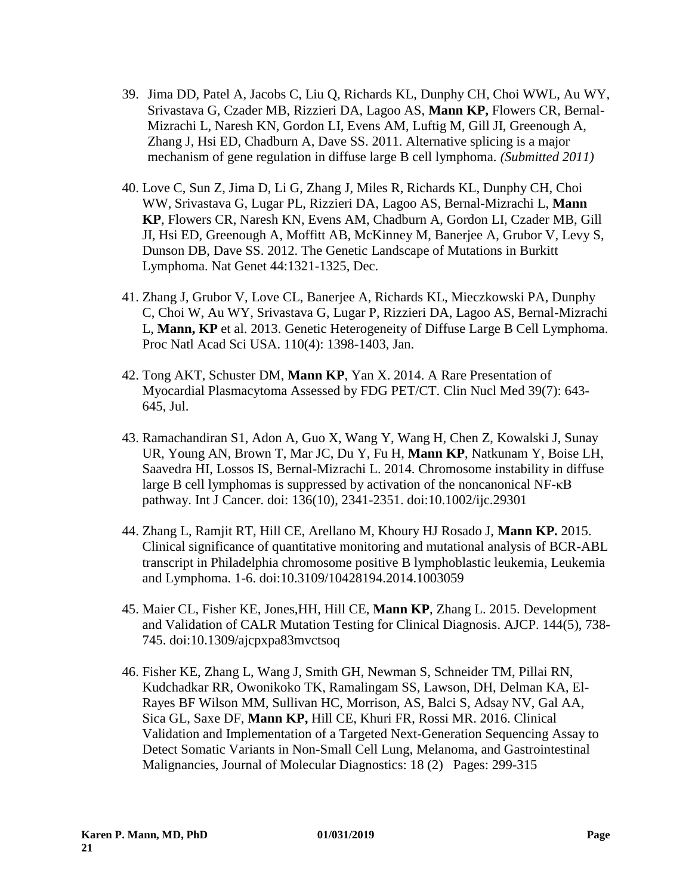- 39. Jima DD, Patel A, Jacobs C, Liu Q, Richards KL, Dunphy CH, Choi WWL, Au WY, Srivastava G, Czader MB, Rizzieri DA, Lagoo AS, **Mann KP,** Flowers CR, Bernal-Mizrachi L, Naresh KN, Gordon LI, Evens AM, Luftig M, Gill JI, Greenough A, Zhang J, Hsi ED, Chadburn A, Dave SS. 2011. Alternative splicing is a major mechanism of gene regulation in diffuse large B cell lymphoma. *(Submitted 2011)*
- 40. Love C, Sun Z, Jima D, Li G, Zhang J, Miles R, Richards KL, Dunphy CH, Choi WW, Srivastava G, Lugar PL, Rizzieri DA, Lagoo AS, Bernal-Mizrachi L, **Mann KP**, Flowers CR, Naresh KN, Evens AM, Chadburn A, Gordon LI, Czader MB, Gill JI, Hsi ED, Greenough A, Moffitt AB, McKinney M, Banerjee A, Grubor V, Levy S, Dunson DB, Dave SS. 2012. The Genetic Landscape of Mutations in Burkitt Lymphoma. Nat Genet 44:1321-1325, Dec.
- 41. Zhang J, Grubor V, Love CL, Banerjee A, Richards KL, Mieczkowski PA, Dunphy C, Choi W, Au WY, Srivastava G, Lugar P, Rizzieri DA, Lagoo AS, Bernal-Mizrachi L, **Mann, KP** et al. 2013. Genetic Heterogeneity of Diffuse Large B Cell Lymphoma. Proc Natl Acad Sci USA. 110(4): 1398-1403, Jan.
- 42. Tong AKT, Schuster DM, **Mann KP**, Yan X. 2014. A Rare Presentation of Myocardial Plasmacytoma Assessed by FDG PET/CT. Clin Nucl Med 39(7): 643- 645, Jul.
- 43. Ramachandiran S1, Adon A, Guo X, Wang Y, Wang H, Chen Z, Kowalski J, Sunay UR, Young AN, Brown T, Mar JC, Du Y, Fu H, **Mann KP**, Natkunam Y, Boise LH, Saavedra HI, Lossos IS, Bernal-Mizrachi L. 2014. Chromosome instability in diffuse large B cell lymphomas is suppressed by activation of the noncanonical NF-κB pathway. Int J Cancer. doi: 136(10), 2341-2351. doi:10.1002/ijc.29301
- 44. Zhang L, Ramjit RT, Hill CE, Arellano M, Khoury HJ Rosado J, **Mann KP.** 2015. Clinical significance of quantitative monitoring and mutational analysis of BCR-ABL transcript in Philadelphia chromosome positive B lymphoblastic leukemia, Leukemia and Lymphoma. 1-6. doi:10.3109/10428194.2014.1003059
- 45. Maier CL, Fisher KE, Jones,HH, Hill CE, **Mann KP**, Zhang L. 2015. Development and Validation of CALR Mutation Testing for Clinical Diagnosis. AJCP. 144(5), 738- 745. doi:10.1309/ajcpxpa83mvctsoq
- 46. Fisher KE, Zhang L, Wang J, Smith GH, Newman S, Schneider TM, Pillai RN, Kudchadkar RR, Owonikoko TK, Ramalingam SS, Lawson, DH, Delman KA, El-Rayes BF Wilson MM, Sullivan HC, Morrison, AS, Balci S, Adsay NV, Gal AA, Sica GL, Saxe DF, **Mann KP,** Hill CE, Khuri FR, Rossi MR. 2016. Clinical Validation and Implementation of a Targeted Next-Generation Sequencing Assay to Detect Somatic Variants in Non-Small Cell Lung, Melanoma, and Gastrointestinal Malignancies, Journal of Molecular Diagnostics: 18 (2) Pages: 299-315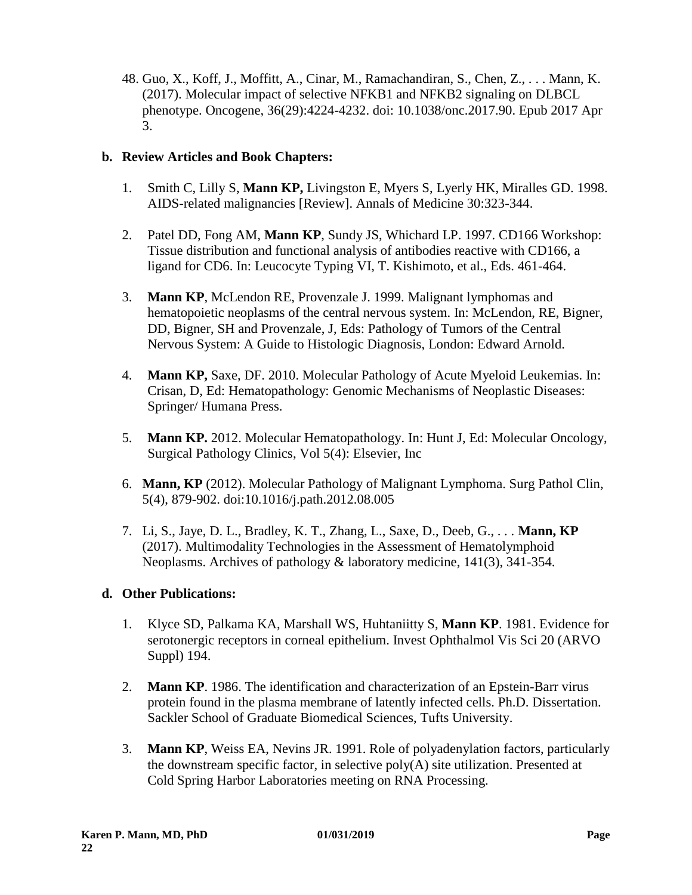48. Guo, X., Koff, J., Moffitt, A., Cinar, M., Ramachandiran, S., Chen, Z., . . . Mann, K. (2017). Molecular impact of selective NFKB1 and NFKB2 signaling on DLBCL phenotype. Oncogene, 36(29):4224-4232. doi: 10.1038/onc.2017.90. Epub 2017 Apr 3.

# **b. Review Articles and Book Chapters:**

- 1. Smith C, Lilly S, **Mann KP,** Livingston E, Myers S, Lyerly HK, Miralles GD. 1998. AIDS-related malignancies [Review]. Annals of Medicine 30:323-344.
- 2. Patel DD, Fong AM, **Mann KP**, Sundy JS, Whichard LP. 1997. CD166 Workshop: Tissue distribution and functional analysis of antibodies reactive with CD166, a ligand for CD6. In: Leucocyte Typing VI, T. Kishimoto, et al., Eds. 461-464.
- 3. **Mann KP**, McLendon RE, Provenzale J. 1999. Malignant lymphomas and hematopoietic neoplasms of the central nervous system. In: McLendon, RE, Bigner, DD, Bigner, SH and Provenzale, J, Eds: Pathology of Tumors of the Central Nervous System: A Guide to Histologic Diagnosis, London: Edward Arnold.
- 4. **Mann KP,** Saxe, DF. 2010. Molecular Pathology of Acute Myeloid Leukemias. In: Crisan, D, Ed: Hematopathology: Genomic Mechanisms of Neoplastic Diseases: Springer/ Humana Press.
- 5. **Mann KP.** 2012. Molecular Hematopathology. In: Hunt J, Ed: Molecular Oncology, Surgical Pathology Clinics, Vol 5(4): Elsevier, Inc
- 6. **Mann, KP** (2012). Molecular Pathology of Malignant Lymphoma. Surg Pathol Clin, 5(4), 879-902. doi:10.1016/j.path.2012.08.005
- 7. Li, S., Jaye, D. L., Bradley, K. T., Zhang, L., Saxe, D., Deeb, G., . . . **Mann, KP** (2017). Multimodality Technologies in the Assessment of Hematolymphoid Neoplasms. Archives of pathology & laboratory medicine, 141(3), 341-354.

# **d. Other Publications:**

- 1. Klyce SD, Palkama KA, Marshall WS, Huhtaniitty S, **Mann KP**. 1981. Evidence for serotonergic receptors in corneal epithelium. Invest Ophthalmol Vis Sci 20 (ARVO Suppl) 194.
- 2. **Mann KP**. 1986. The identification and characterization of an Epstein-Barr virus protein found in the plasma membrane of latently infected cells. Ph.D. Dissertation. Sackler School of Graduate Biomedical Sciences, Tufts University.
- 3. **Mann KP**, Weiss EA, Nevins JR. 1991. Role of polyadenylation factors, particularly the downstream specific factor, in selective poly(A) site utilization. Presented at Cold Spring Harbor Laboratories meeting on RNA Processing.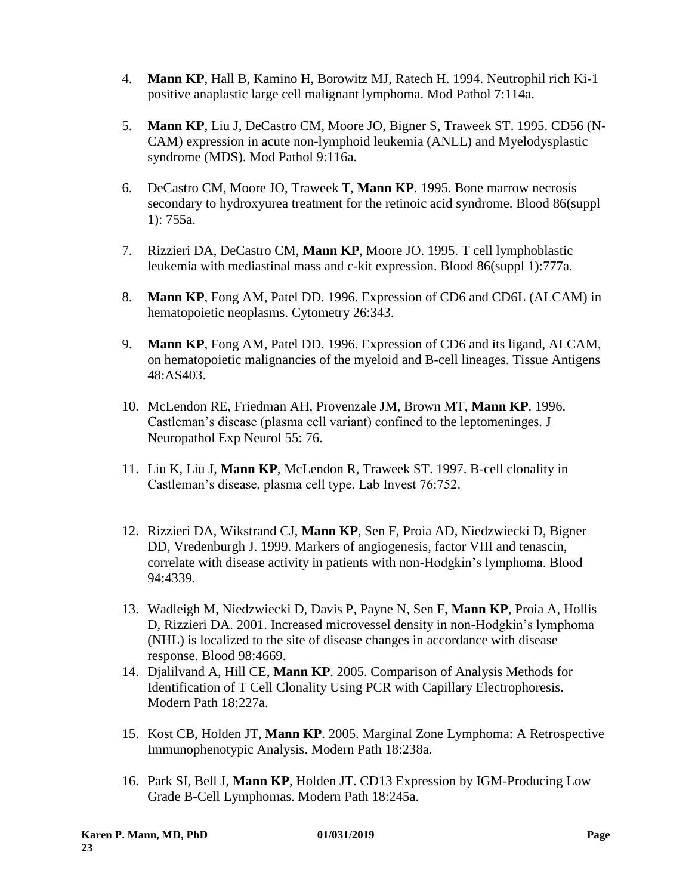- 4. **Mann KP**, Hall B, Kamino H, Borowitz MJ, Ratech H. 1994. Neutrophil rich Ki-1 positive anaplastic large cell malignant lymphoma. Mod Pathol 7:114a.
- 5. **Mann KP**, Liu J, DeCastro CM, Moore JO, Bigner S, Traweek ST. 1995. CD56 (N-CAM) expression in acute non-lymphoid leukemia (ANLL) and Myelodysplastic syndrome (MDS). Mod Pathol 9:116a.
- 6. DeCastro CM, Moore JO, Traweek T, **Mann KP**. 1995. Bone marrow necrosis secondary to hydroxyurea treatment for the retinoic acid syndrome. Blood 86(suppl 1): 755a.
- 7. Rizzieri DA, DeCastro CM, **Mann KP**, Moore JO. 1995. T cell lymphoblastic leukemia with mediastinal mass and c-kit expression. Blood 86(suppl 1):777a.
- 8. **Mann KP**, Fong AM, Patel DD. 1996. Expression of CD6 and CD6L (ALCAM) in hematopoietic neoplasms. Cytometry 26:343.
- 9. **Mann KP**, Fong AM, Patel DD. 1996. Expression of CD6 and its ligand, ALCAM, on hematopoietic malignancies of the myeloid and B-cell lineages. Tissue Antigens 48:AS403.
- 10. McLendon RE, Friedman AH, Provenzale JM, Brown MT, **Mann KP**. 1996. Castleman's disease (plasma cell variant) confined to the leptomeninges. J Neuropathol Exp Neurol 55: 76.
- 11. Liu K, Liu J, **Mann KP**, McLendon R, Traweek ST. 1997. B-cell clonality in Castleman's disease, plasma cell type. Lab Invest 76:752.
- 12. Rizzieri DA, Wikstrand CJ, **Mann KP**, Sen F, Proia AD, Niedzwiecki D, Bigner DD, Vredenburgh J. 1999. Markers of angiogenesis, factor VIII and tenascin, correlate with disease activity in patients with non-Hodgkin's lymphoma. Blood 94:4339.
- 13. Wadleigh M, Niedzwiecki D, Davis P, Payne N, Sen F, **Mann KP**, Proia A, Hollis D, Rizzieri DA. 2001. Increased microvessel density in non-Hodgkin's lymphoma (NHL) is localized to the site of disease changes in accordance with disease response. Blood 98:4669.
- 14. Djalilvand A, Hill CE, **Mann KP**. 2005. Comparison of Analysis Methods for Identification of T Cell Clonality Using PCR with Capillary Electrophoresis. Modern Path 18:227a.
- 15. Kost CB, Holden JT, **Mann KP**. 2005. Marginal Zone Lymphoma: A Retrospective Immunophenotypic Analysis. Modern Path 18:238a.
- 16. Park SI, Bell J, **Mann KP**, Holden JT. CD13 Expression by IGM-Producing Low Grade B-Cell Lymphomas. Modern Path 18:245a.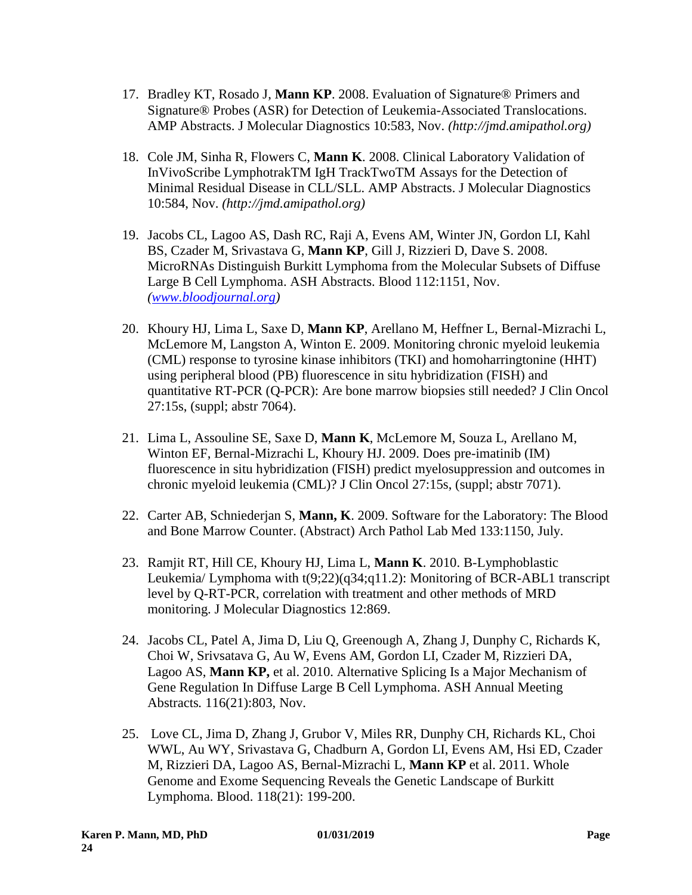- 17. Bradley KT, Rosado J, **Mann KP**. 2008. Evaluation of Signature® Primers and Signature® Probes (ASR) for Detection of Leukemia-Associated Translocations. AMP Abstracts. J Molecular Diagnostics 10:583, Nov. *(http://jmd.amipathol.org)*
- 18. Cole JM, Sinha R, Flowers C, **Mann K**. 2008. Clinical Laboratory Validation of InVivoScribe LymphotrakTM IgH TrackTwoTM Assays for the Detection of Minimal Residual Disease in CLL/SLL. AMP Abstracts. J Molecular Diagnostics 10:584, Nov. *(http://jmd.amipathol.org)*
- 19. Jacobs CL, Lagoo AS, Dash RC, Raji A, Evens AM, Winter JN, Gordon LI, Kahl BS, Czader M, Srivastava G, **Mann KP**, Gill J, Rizzieri D, Dave S. 2008. MicroRNAs Distinguish Burkitt Lymphoma from the Molecular Subsets of Diffuse Large B Cell Lymphoma. ASH Abstracts. Blood 112:1151, Nov. *(www.bloodjournal.org)*
- 20. Khoury HJ, Lima L, Saxe D, **Mann KP**, Arellano M, Heffner L, Bernal-Mizrachi L, McLemore M, Langston A, Winton E. 2009. Monitoring chronic myeloid leukemia (CML) response to tyrosine kinase inhibitors (TKI) and homoharringtonine (HHT) using peripheral blood (PB) fluorescence in situ hybridization (FISH) and quantitative RT-PCR (Q-PCR): Are bone marrow biopsies still needed? J Clin Oncol 27:15s, (suppl; abstr 7064).
- 21. Lima L, Assouline SE, Saxe D, **Mann K**, McLemore M, Souza L, Arellano M, Winton EF, Bernal-Mizrachi L, Khoury HJ. 2009. Does pre-imatinib (IM) fluorescence in situ hybridization (FISH) predict myelosuppression and outcomes in chronic myeloid leukemia (CML)? J Clin Oncol 27:15s, (suppl; abstr 7071).
- 22. Carter AB, Schniederjan S, **Mann, K**. 2009. Software for the Laboratory: The Blood and Bone Marrow Counter. (Abstract) Arch Pathol Lab Med 133:1150, July.
- 23. Ramjit RT, Hill CE, Khoury HJ, Lima L, **Mann K**. 2010. B-Lymphoblastic Leukemia/ Lymphoma with t(9;22)(q34;q11.2): Monitoring of BCR-ABL1 transcript level by Q-RT-PCR, correlation with treatment and other methods of MRD monitoring. J Molecular Diagnostics 12:869.
- 24. Jacobs CL, Patel A, Jima D, Liu Q, Greenough A, Zhang J, Dunphy C, Richards K, Choi W, Srivsatava G, Au W, Evens AM, Gordon LI, Czader M, Rizzieri DA, Lagoo AS, **Mann KP,** et al. 2010. Alternative Splicing Is a Major Mechanism of Gene Regulation In Diffuse Large B Cell Lymphoma. ASH Annual Meeting Abstracts*.* 116(21):803, Nov.
- 25. Love CL, Jima D, Zhang J, Grubor V, Miles RR, Dunphy CH, Richards KL, Choi WWL, Au WY, Srivastava G, Chadburn A, Gordon LI, Evens AM, Hsi ED, Czader M, Rizzieri DA, Lagoo AS, Bernal-Mizrachi L, **Mann KP** et al. 2011. Whole Genome and Exome Sequencing Reveals the Genetic Landscape of Burkitt Lymphoma. Blood. 118(21): 199-200.